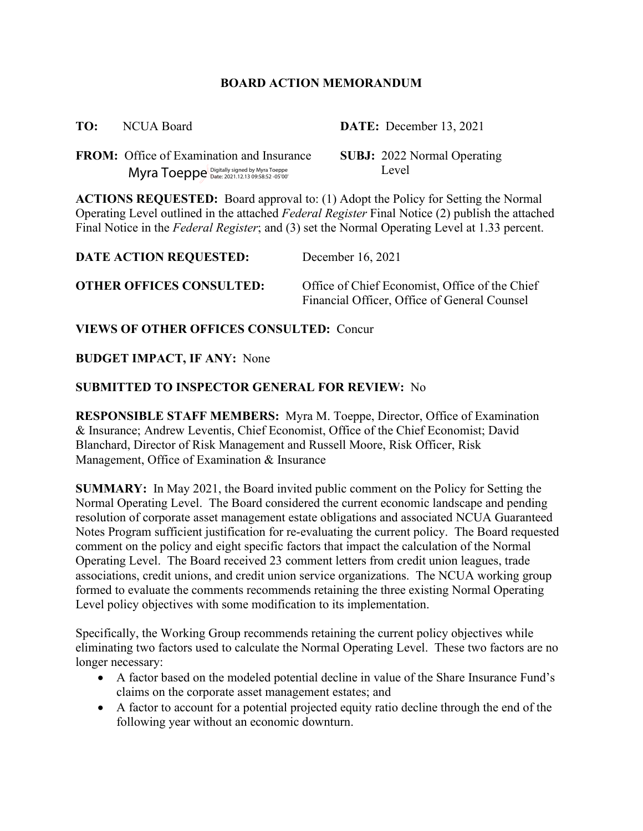### **BOARD ACTION MEMORANDUM**

**FROM:** Office of Examination and Insurance **SUBJ:** 2022 Normal Operating Myra Toeppe Digitally signed by Myra Toeppe **Level** 

**TO:** NCUA Board **DATE:** December 13, 2021

**ACTIONS REQUESTED:** Board approval to: (1) Adopt the Policy for Setting the Normal Operating Level outlined in the attached *Federal Register* Final Notice (2) publish the attached Final Notice in the *Federal Register*; and (3) set the Normal Operating Level at 1.33 percent.

| <b>DATE ACTION REQUESTED:</b>   | December 16, 2021                                                                              |  |
|---------------------------------|------------------------------------------------------------------------------------------------|--|
| <b>OTHER OFFICES CONSULTED:</b> | Office of Chief Economist, Office of the Chief<br>Financial Officer, Office of General Counsel |  |

**VIEWS OF OTHER OFFICES CONSULTED:** Concur

## **BUDGET IMPACT, IF ANY:** None

## **SUBMITTED TO INSPECTOR GENERAL FOR REVIEW:** No

**RESPONSIBLE STAFF MEMBERS:** Myra M. Toeppe, Director, Office of Examination & Insurance; Andrew Leventis, Chief Economist, Office of the Chief Economist; David Blanchard, Director of Risk Management and Russell Moore, Risk Officer, Risk Management, Office of Examination & Insurance

**SUMMARY:** In May 2021, the Board invited public comment on the Policy for Setting the Normal Operating Level. The Board considered the current economic landscape and pending resolution of corporate asset management estate obligations and associated NCUA Guaranteed Notes Program sufficient justification for re-evaluating the current policy. The Board requested comment on the policy and eight specific factors that impact the calculation of the Normal Operating Level. The Board received 23 comment letters from credit union leagues, trade associations, credit unions, and credit union service organizations. The NCUA working group formed to evaluate the comments recommends retaining the three existing Normal Operating Level policy objectives with some modification to its implementation.

Specifically, the Working Group recommends retaining the current policy objectives while eliminating two factors used to calculate the Normal Operating Level. These two factors are no longer necessary:

- A factor based on the modeled potential decline in value of the Share Insurance Fund's claims on the corporate asset management estates; and
- A factor to account for a potential projected equity ratio decline through the end of the following year without an economic downturn.